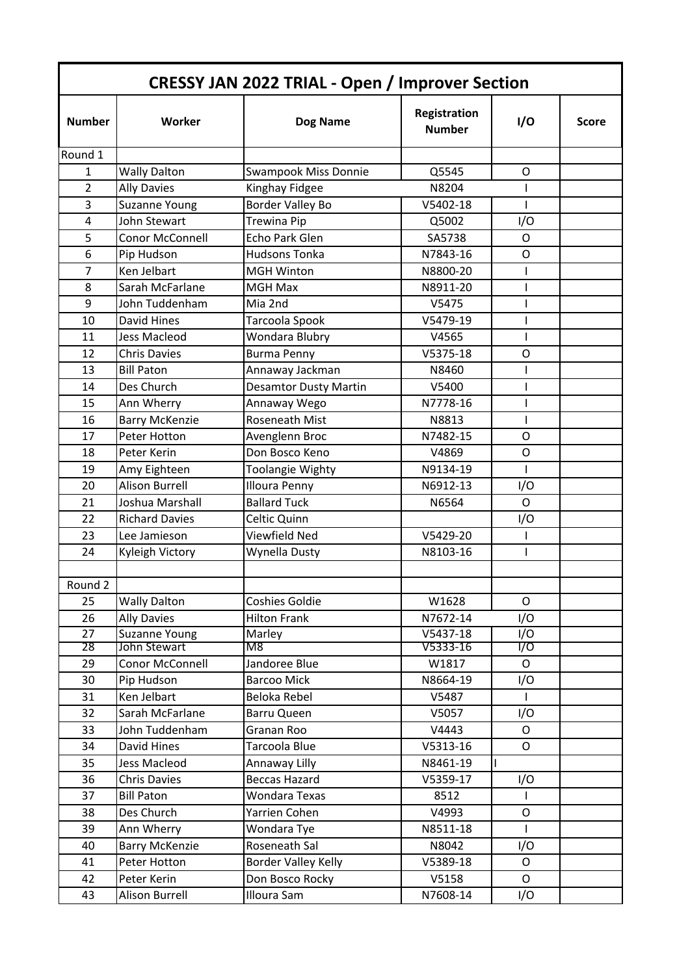| <b>CRESSY JAN 2022 TRIAL - Open / Improver Section</b> |                       |                              |                               |                  |              |
|--------------------------------------------------------|-----------------------|------------------------------|-------------------------------|------------------|--------------|
| <b>Number</b>                                          | Worker                | <b>Dog Name</b>              | Registration<br><b>Number</b> | I/O              | <b>Score</b> |
| Round 1                                                |                       |                              |                               |                  |              |
| 1                                                      | <b>Wally Dalton</b>   | Swampook Miss Donnie         | Q5545                         | O                |              |
| $\overline{2}$                                         | <b>Ally Davies</b>    | Kinghay Fidgee               | N8204                         | I                |              |
| 3                                                      | Suzanne Young         | <b>Border Valley Bo</b>      | V5402-18                      |                  |              |
| 4                                                      | John Stewart          | <b>Trewina Pip</b>           | Q5002                         | I/O              |              |
| 5                                                      | Conor McConnell       | Echo Park Glen               | SA5738                        | $\mathsf{O}$     |              |
| 6                                                      | Pip Hudson            | <b>Hudsons Tonka</b>         | N7843-16                      | O                |              |
| $\overline{7}$                                         | Ken Jelbart           | <b>MGH Winton</b>            | N8800-20                      | T                |              |
| 8                                                      | Sarah McFarlane       | <b>MGH Max</b>               | N8911-20                      | I                |              |
| 9                                                      | John Tuddenham        | Mia 2nd                      | V5475                         | I                |              |
| 10                                                     | David Hines           | Tarcoola Spook               | V5479-19                      | I                |              |
| 11                                                     | <b>Jess Macleod</b>   | Wondara Blubry               | V4565                         | $\overline{1}$   |              |
| 12                                                     | <b>Chris Davies</b>   | <b>Burma Penny</b>           | V5375-18                      | $\circ$          |              |
| 13                                                     | <b>Bill Paton</b>     | Annaway Jackman              | N8460                         |                  |              |
| 14                                                     | Des Church            | <b>Desamtor Dusty Martin</b> | V5400                         | $\mathsf{I}$     |              |
| 15                                                     | Ann Wherry            | Annaway Wego                 | N7778-16                      | L                |              |
| 16                                                     | <b>Barry McKenzie</b> | Roseneath Mist               | N8813                         | T                |              |
| 17                                                     | Peter Hotton          | Avenglenn Broc               | N7482-15                      | O                |              |
| 18                                                     | Peter Kerin           | Don Bosco Keno               | V4869                         | $\circ$          |              |
| 19                                                     | Amy Eighteen          | Toolangie Wighty             | N9134-19                      | T                |              |
| 20                                                     | <b>Alison Burrell</b> | <b>Illoura Penny</b>         | N6912-13                      | I/O              |              |
| 21                                                     | Joshua Marshall       | <b>Ballard Tuck</b>          | N6564                         | $\mathsf{O}$     |              |
| 22                                                     | <b>Richard Davies</b> | Celtic Quinn                 |                               | I/O              |              |
| 23                                                     | Lee Jamieson          | Viewfield Ned                | V5429-20                      | T                |              |
| 24                                                     | Kyleigh Victory       | Wynella Dusty                | N8103-16                      | T                |              |
|                                                        |                       |                              |                               |                  |              |
| Round 2                                                |                       |                              |                               |                  |              |
| 25                                                     | <b>Wally Dalton</b>   | Coshies Goldie               | W1628                         | $\mathsf{O}$     |              |
| 26                                                     | <b>Ally Davies</b>    | <b>Hilton Frank</b>          | N7672-14                      | I/O              |              |
| 27                                                     | Suzanne Young         | Marley                       | V5437-18                      | $\overline{1/O}$ |              |
| 28                                                     | John Stewart          | M8                           | V5333-16                      | 1/0              |              |
| 29                                                     | Conor McConnell       | Jandoree Blue                | W1817                         | $\mathsf{O}$     |              |
| 30                                                     | Pip Hudson            | <b>Barcoo Mick</b>           | N8664-19                      | I/O              |              |
| 31                                                     | Ken Jelbart           | Beloka Rebel                 | V5487                         | T                |              |
| 32                                                     | Sarah McFarlane       | Barru Queen                  | V5057                         | I/O              |              |
| 33                                                     | John Tuddenham        | Granan Roo                   | V4443                         | $\mathsf{O}$     |              |
| 34                                                     | David Hines           | Tarcoola Blue                | V5313-16                      | $\mathsf O$      |              |
| 35                                                     | Jess Macleod          | Annaway Lilly                | N8461-19                      |                  |              |
| 36                                                     | <b>Chris Davies</b>   | <b>Beccas Hazard</b>         | V5359-17                      | I/O              |              |
| 37                                                     | <b>Bill Paton</b>     | Wondara Texas                | 8512                          | L                |              |
| 38                                                     | Des Church            | Yarrien Cohen                | V4993                         | $\mathsf O$      |              |
| 39                                                     | Ann Wherry            | Wondara Tye                  | N8511-18                      | $\mathbf{I}$     |              |
| 40                                                     | <b>Barry McKenzie</b> | Roseneath Sal                | N8042                         | I/O              |              |
| 41                                                     | Peter Hotton          | Border Valley Kelly          | V5389-18                      | $\mathsf{O}$     |              |
| 42                                                     | Peter Kerin           | Don Bosco Rocky              | V5158                         | $\mathsf O$      |              |
| 43                                                     | Alison Burrell        | Illoura Sam                  | N7608-14                      | I/O              |              |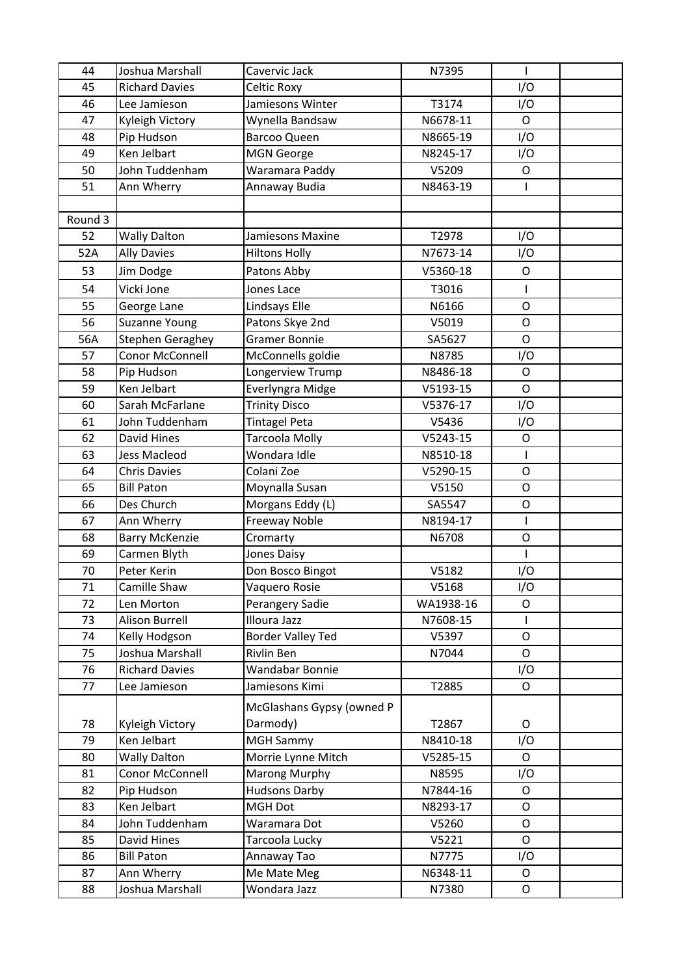| 44      | Joshua Marshall       | Cavervic Jack             | N7395     | ı              |  |
|---------|-----------------------|---------------------------|-----------|----------------|--|
| 45      | <b>Richard Davies</b> | Celtic Roxy               |           | I/O            |  |
| 46      | Lee Jamieson          | Jamiesons Winter          | T3174     | I/O            |  |
| 47      | Kyleigh Victory       | Wynella Bandsaw           | N6678-11  | $\mathsf{O}$   |  |
| 48      | Pip Hudson            | <b>Barcoo Queen</b>       | N8665-19  | I/O            |  |
| 49      | Ken Jelbart           | <b>MGN George</b>         | N8245-17  | I/O            |  |
| 50      | John Tuddenham        | Waramara Paddy            | V5209     | $\mathsf{O}$   |  |
| 51      | Ann Wherry            | Annaway Budia             | N8463-19  | $\overline{1}$ |  |
|         |                       |                           |           |                |  |
| Round 3 |                       |                           |           |                |  |
| 52      | <b>Wally Dalton</b>   | Jamiesons Maxine          | T2978     | I/O            |  |
| 52A     | <b>Ally Davies</b>    | <b>Hiltons Holly</b>      | N7673-14  | I/O            |  |
| 53      | Jim Dodge             | Patons Abby               | V5360-18  | $\mathsf O$    |  |
| 54      | Vicki Jone            | Jones Lace                | T3016     | $\overline{1}$ |  |
| 55      | George Lane           | Lindsays Elle             | N6166     | $\mathsf O$    |  |
| 56      | Suzanne Young         | Patons Skye 2nd           | V5019     | $\mathsf O$    |  |
| 56A     | Stephen Geraghey      | Gramer Bonnie             | SA5627    | $\mathsf{O}$   |  |
| 57      | Conor McConnell       | McConnells goldie         | N8785     | I/O            |  |
| 58      | Pip Hudson            | Longerview Trump          | N8486-18  | $\mathsf{O}$   |  |
| 59      | Ken Jelbart           | Everlyngra Midge          | V5193-15  | $\mathsf{O}$   |  |
| 60      | Sarah McFarlane       | <b>Trinity Disco</b>      | V5376-17  | I/O            |  |
| 61      | John Tuddenham        | <b>Tintagel Peta</b>      | V5436     | I/O            |  |
| 62      | David Hines           | Tarcoola Molly            | V5243-15  | $\mathsf O$    |  |
| 63      | <b>Jess Macleod</b>   | Wondara Idle              | N8510-18  | I              |  |
| 64      | <b>Chris Davies</b>   | Colani Zoe                | V5290-15  | $\circ$        |  |
| 65      | <b>Bill Paton</b>     | Moynalla Susan            | V5150     | $\mathsf O$    |  |
| 66      | Des Church            | Morgans Eddy (L)          | SA5547    | $\circ$        |  |
| 67      | Ann Wherry            | <b>Freeway Noble</b>      | N8194-17  | I              |  |
| 68      | <b>Barry McKenzie</b> | Cromarty                  | N6708     | $\mathsf O$    |  |
| 69      | Carmen Blyth          | Jones Daisy               |           |                |  |
| 70      | Peter Kerin           | Don Bosco Bingot          | V5182     | I/O            |  |
| 71      | Camille Shaw          | Vaquero Rosie             | V5168     | I/O            |  |
| 72      | Len Morton            | Perangery Sadie           | WA1938-16 | 0              |  |
| 73      | Alison Burrell        | Illoura Jazz              | N7608-15  |                |  |
| 74      | Kelly Hodgson         | <b>Border Valley Ted</b>  | V5397     | $\mathsf{O}$   |  |
| 75      | Joshua Marshall       | Rivlin Ben                | N7044     | $\mathsf{O}$   |  |
| 76      | <b>Richard Davies</b> | Wandabar Bonnie           |           | I/O            |  |
| 77      | Lee Jamieson          | Jamiesons Kimi            | T2885     | $\mathsf O$    |  |
|         |                       | McGlashans Gypsy (owned P |           |                |  |
| 78      | Kyleigh Victory       | Darmody)                  | T2867     | O              |  |
| 79      | Ken Jelbart           | <b>MGH Sammy</b>          | N8410-18  | I/O            |  |
| 80      | <b>Wally Dalton</b>   | Morrie Lynne Mitch        | V5285-15  | $\mathsf{O}$   |  |
| 81      | Conor McConnell       | <b>Marong Murphy</b>      | N8595     | I/O            |  |
| 82      | Pip Hudson            | <b>Hudsons Darby</b>      | N7844-16  | $\mathsf{O}$   |  |
| 83      | Ken Jelbart           | MGH Dot                   | N8293-17  | 0              |  |
| 84      | John Tuddenham        | Waramara Dot              | V5260     | $\mathsf{O}$   |  |
| 85      | David Hines           | Tarcoola Lucky            | V5221     | $\mathsf{O}$   |  |
| 86      | <b>Bill Paton</b>     | Annaway Tao               | N7775     | I/O            |  |
| 87      | Ann Wherry            | Me Mate Meg               | N6348-11  | O              |  |
| 88      | Joshua Marshall       | Wondara Jazz              | N7380     | O              |  |